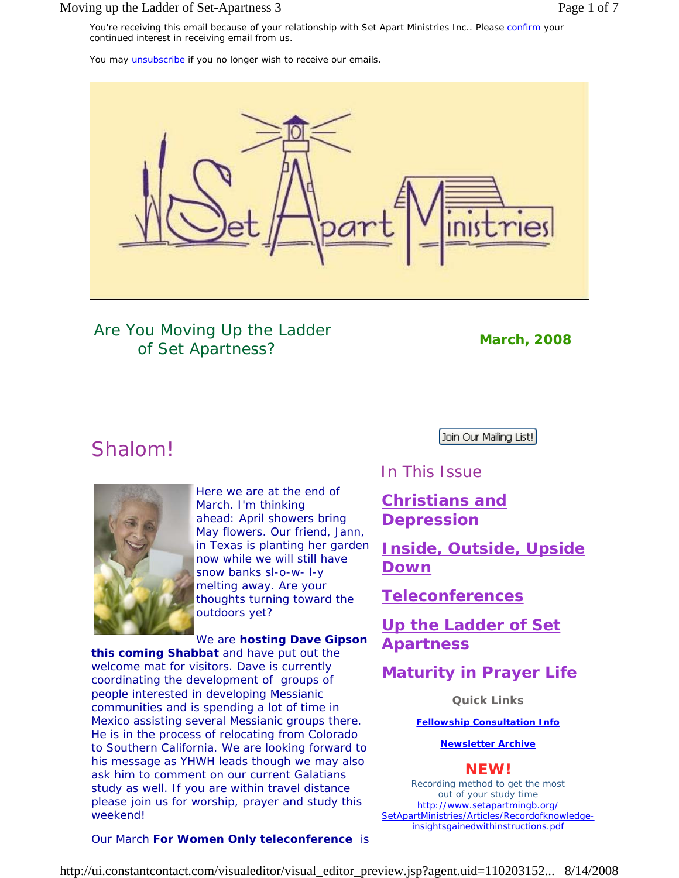### Moving up the Ladder of Set-Apartness 3 Page 1 of 7

You may *unsubscribe* if you no longer wish to receive our emails.



Are *You* Moving Up the Ladder of Set Apartness? *March, 2008*

# Shalom!



Here we are at the end of March. I'm thinking ahead: April showers bring May flowers. Our friend, Jann, in Texas is planting her garden now while we will still have snow banks sl-o-w- l-y melting away. Are your thoughts turning toward the outdoors yet?

### We are **hosting Dave Gipson**

**this coming Shabbat** and have put out the welcome mat for visitors. Dave is currently coordinating the development of groups of people interested in developing Messianic communities and is spending a lot of time in Mexico assisting several Messianic groups there. He is in the process of relocating from Colorado to Southern California. We are looking forward to his message as YHWH leads though we may also ask him to comment on our current Galatians study as well. If you are within travel distance please join us for worship, prayer and study this weekend!

Join Our Mailing List!

## In This Issue

**Christians and Depression**

**Inside, Outside, Upside Down**

**Teleconferences**

**Up the Ladder of Set Apartness**

## **Maturity in Prayer Life**

**Quick Links**

**Fellowship Consultation Info**

**Newsletter Archive**

### **NEW!**

Recording method to get the most out of your study time http://www.setapartmingb.org/ SetApartMinistries/Articles/Recordofknowledgeinsightsgainedwithinstructions.pdf

Our March **For Women Only teleconference** is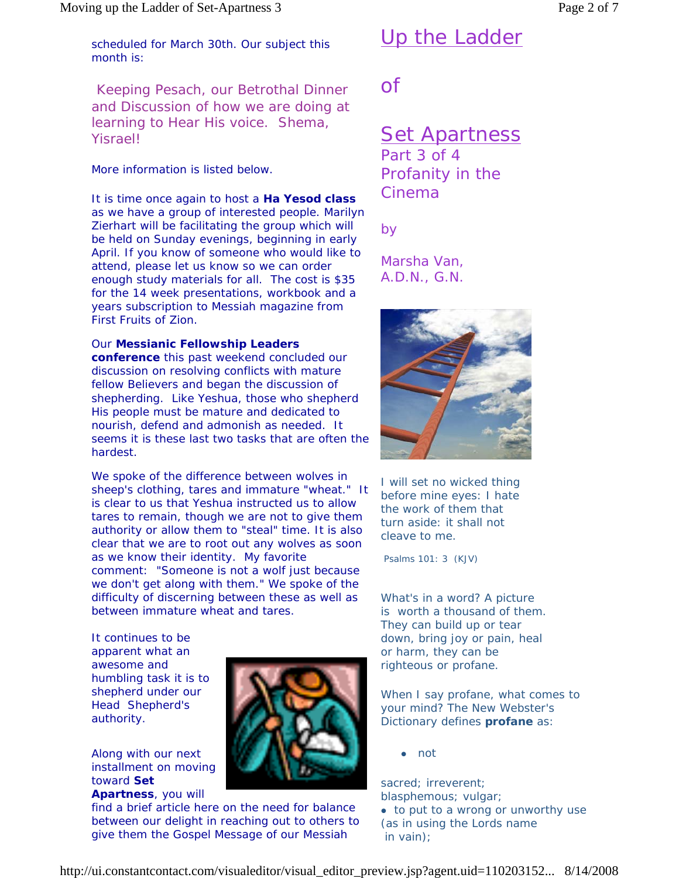# Up the Ladder

scheduled for March 30th. Our subject this month is:

Keeping Pesach, our Betrothal Dinner and Discussion of how we are doing at learning to Hear His voice. Shema, Yisrael!

More information is listed below.

It is time once again to host a **Ha Yesod class** as we have a group of interested people. Marilyn Zierhart will be facilitating the group which will be held on Sunday evenings, beginning in early April. If you know of someone who would like to attend, please let us know so we can order enough study materials for all. The cost is \$35 for the 14 week presentations, workbook and a years subscription to Messiah magazine from First Fruits of Zion.

### Our **Messianic Fellowship Leaders**

**conference** this past weekend concluded our discussion on resolving conflicts with mature fellow Believers and began the discussion of shepherding. Like Yeshua, those who shepherd His people must be mature and dedicated to nourish, defend and admonish as needed. It seems it is these last two tasks that are often the hardest.

We spoke of the difference between wolves in sheep's clothing, tares and immature "wheat." It is clear to us that Yeshua instructed us to allow tares to remain, though we are not to give them authority or allow them to "steal" time. It is also clear that we are to root out any wolves as soon as we know their identity. My favorite comment: "Someone is not a wolf just because we don't get along with them." We spoke of the difficulty of discerning between these as well as between immature wheat and tares.

It continues to be apparent what an awesome and humbling task it is to shepherd under our Head Shepherd's authority.

Along with our next installment on moving toward **Set Apartness**, you will

find a brief article here on the need for balance between our delight in reaching out to others to give them the Gospel Message of our Messiah



*Set Apartness* Part 3 of 4

Profanity in the Cinema

*by* 

*Marsha Van, A.D.N., G.N.* 



*I will set no wicked thing before mine eyes: I hate the work of them that turn aside: it shall not cleave to me.* 

Psalms 101: 3 (KJV)

What's in a word? A picture is worth a thousand of them. They can build up or tear down, bring joy or pain, heal or harm, they can be righteous or profane.

When I say profane, what comes to your mind? The New Webster's Dictionary defines **profane** as:

<sup>z</sup> not

sacred; irreverent; blasphemous; vulgar; • to put to a wrong or unworthy use (as in using the Lords name in vain);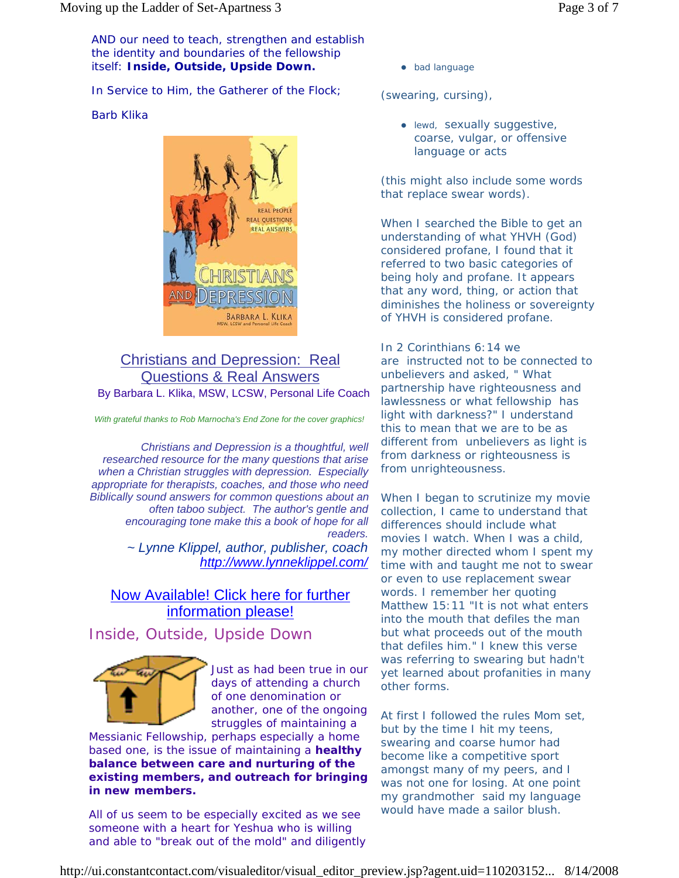AND our need to teach, strengthen and establish the identity and boundaries of the fellowship itself: **Inside, Outside, Upside Down.** 

In Service to Him, the Gatherer of the Flock;

### Barb Klika



### Christians and Depression: Real Questions & Real Answers By Barbara L. Klika, MSW, LCSW, Personal Life Coach

*With grateful thanks to Rob Marnocha's End Zone for the cover graphics!*

*Christians and Depression is a thoughtful, well researched resource for the many questions that arise when a Christian struggles with depression. Especially appropriate for therapists, coaches, and those who need Biblically sound answers for common questions about an often taboo subject. The author's gentle and encouraging tone make this a book of hope for all readers. ~ Lynne Klippel, author, publisher, coach*

*http://www.lynneklippel.com/*

### Now Available! Click here for further information please!

Inside, Outside, Upside Down



Just as had been true in our days of attending a church of one denomination or another, one of the ongoing struggles of maintaining a

Messianic Fellowship, perhaps especially a home based one, is the issue of maintaining a **healthy balance between care and nurturing of the existing members, and outreach for bringing in new members.**

All of us seem to be especially excited as we see someone with a heart for Yeshua who is willing and able to "break out of the mold" and diligently • bad language

(swearing, cursing),

• lewd, sexually suggestive, coarse, vulgar, or offensive language or acts

(this might also include some words that replace swear words).

When I searched the Bible to get an understanding of what YHVH (God) considered profane, I found that it referred to two basic categories of being holy and profane. It appears that any word, thing, or action that diminishes the holiness or sovereignty of YHVH is considered profane.

In 2 Corinthians 6:14 we are instructed not to be connected to unbelievers and asked, " What partnership have righteousness and lawlessness or what fellowship has light with darkness?" I understand this to mean that we are to be as different from unbelievers as light is from darkness or righteousness is from unrighteousness.

When I began to scrutinize my movie collection, I came to understand that differences should include what movies I watch. When I was a child, my mother directed whom I spent my time with and taught me not to swear or even to use replacement swear words. I remember her quoting Matthew 15:11 "It is not what enters into the mouth that defiles the man but what proceeds out of the mouth that defiles him." I knew this verse was referring to swearing but hadn't yet learned about profanities in many other forms.

At first I followed the rules Mom set, but by the time I hit my teens, swearing and coarse humor had become like a competitive sport amongst many of my peers, and I was not one for losing. At one point my grandmother said my language would have made a sailor blush.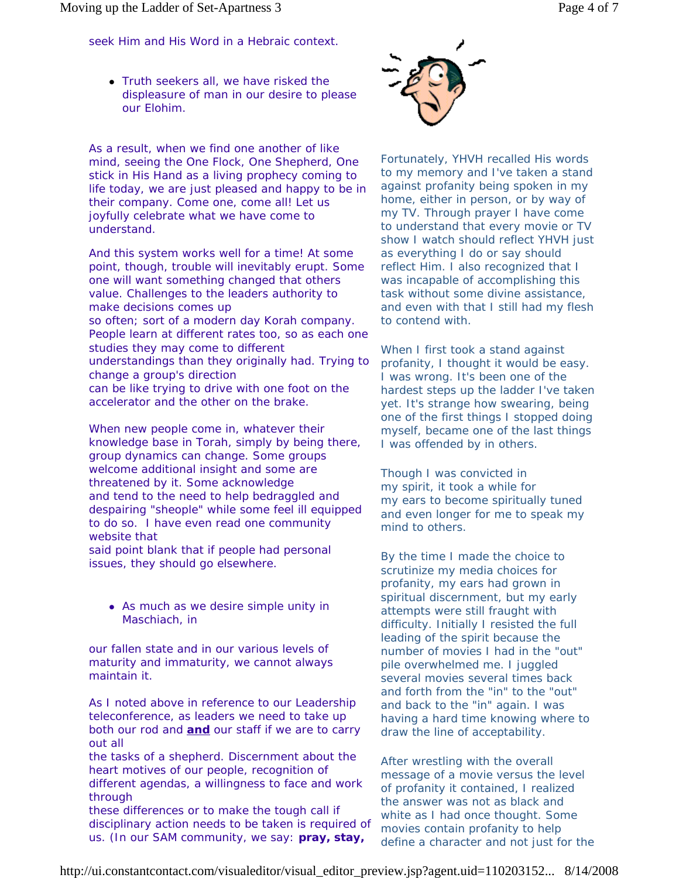seek Him and His Word in a Hebraic context.

• Truth seekers all, we have risked the displeasure of man in our desire to please our Elohim.

As a result, when we find one another of like mind, seeing the One Flock, One Shepherd, One stick in His Hand as a living prophecy coming to life today, we are just pleased and happy to be in their company. Come one, come all! Let us joyfully celebrate what we have come to understand.

And this system works well for a time! At some point, though, trouble will inevitably erupt. Some one will want something changed that others value. Challenges to the leaders authority to make decisions comes up so often; sort of a modern day Korah company. People learn at different rates too, so as each one studies they may come to different understandings than they originally had. Trying to change a group's direction can be like trying to drive with one foot on the accelerator and the other on the brake.

When new people come in, whatever their knowledge base in Torah, simply by being there, group dynamics can change. Some groups welcome additional insight and some are threatened by it. Some acknowledge and tend to the need to help bedraggled and despairing "sheople" while some feel ill equipped to do so. I have even read one community website that said point blank that if people had personal

issues, they should go elsewhere.

• As much as we desire simple unity in Maschiach, in

our fallen state and in our various levels of maturity and immaturity, we cannot always maintain it.

As I noted above in reference to our Leadership teleconference, as leaders we need to take up both our rod and **and** our staff if we are to carry out all

the tasks of a shepherd. Discernment about the heart motives of our people, recognition of different agendas, a willingness to face and work through

these differences or to make the tough call if disciplinary action needs to be taken is required of us. (In our SAM community, we say: **pray, stay,** 



Fortunately, YHVH recalled His words to my memory and I've taken a stand against profanity being spoken in my home, either in person, or by way of my TV. Through prayer I have come to understand that every movie or TV show I watch should reflect YHVH just as everything I do or say should reflect Him. I also recognized that I was incapable of accomplishing this task without some divine assistance, and even with that I still had my flesh to contend with.

When I first took a stand against profanity, I thought it would be easy. I was wrong. It's been one of the hardest steps up the ladder I've taken yet. It's strange how swearing, being one of the first things I stopped doing myself, became one of the last things I was offended by in others.

Though I was convicted in my spirit, it took a while for my ears to become spiritually tuned and even longer for me to speak my mind to others.

By the time I made the choice to scrutinize my media choices for profanity, my ears had grown in spiritual discernment, but my early attempts were still fraught with difficulty. Initially I resisted the full leading of the spirit because the number of movies I had in the "out" pile overwhelmed me. I juggled several movies several times back and forth from the "in" to the "out" and back to the "in" again. I was having a hard time knowing where to draw the line of acceptability.

After wrestling with the overall message of a movie versus the level of profanity it contained, I realized the answer was not as black and white as I had once thought. Some movies contain profanity to help define a character and not just for the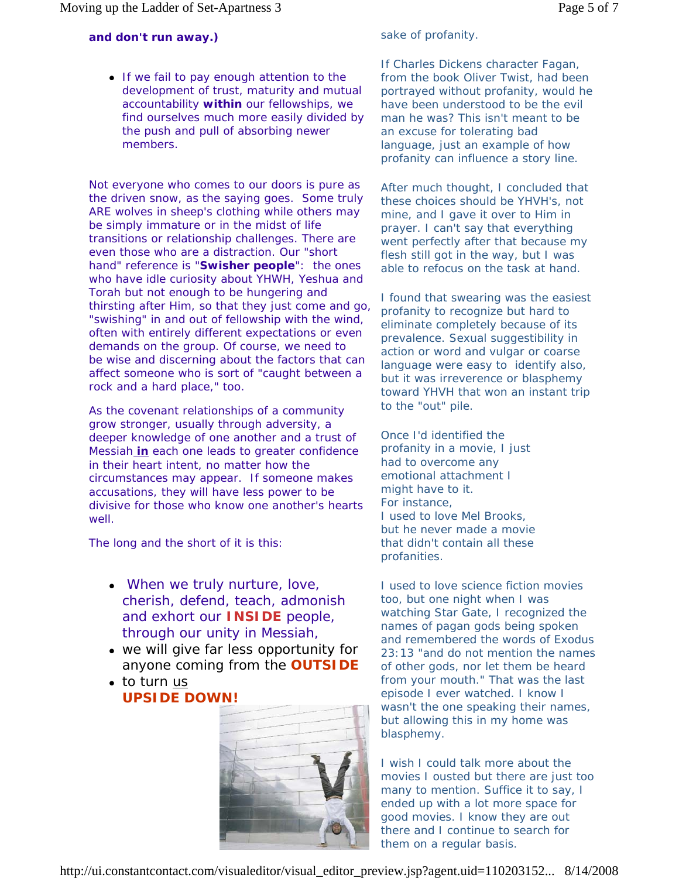### **and don't run away.)**

• If we fail to pay enough attention to the development of trust, maturity and mutual accountability **within** our fellowships, we find ourselves much more easily divided by the push and pull of absorbing newer members.

Not everyone who comes to our doors is pure as the driven snow, as the saying goes. Some truly ARE wolves in sheep's clothing while others may be simply immature or in the midst of life transitions or relationship challenges. There are even those who are a distraction. Our "short hand" reference is "**Swisher people**": the ones who have idle curiosity about YHWH, Yeshua and Torah but not enough to be hungering and thirsting after Him, so that they just come and go, "swishing" in and out of fellowship with the wind, often with entirely different expectations or even demands on the group. Of course, we need to be wise and discerning about the factors that can affect someone who is sort of "caught between a rock and a hard place," too.

As the covenant relationships of a community grow stronger, usually through adversity, a deeper knowledge of one another and a trust of *Messiah in each one* leads to greater confidence in their heart intent, no matter how the circumstances may appear. If someone makes accusations, they will have less power to be divisive for those who know one another's hearts well.

The long and the short of it is this:

- <sup>z</sup> *When we truly nurture, love, cherish, defend, teach, admonish and exhort our* **INSIDE** *people, through our unity in Messiah,*
- <sup>z</sup> *we will give far less opportunity for anyone coming from the* **OUTSIDE**
- *to turn us* **UPSIDE DOWN!**



sake of profanity.

If Charles Dickens character Fagan, from the book Oliver Twist, had been portrayed without profanity, would he have been understood to be the evil man he was? This isn't meant to be an excuse for tolerating bad language, just an example of how profanity can influence a story line.

After much thought, I concluded that these choices should be YHVH's, not mine, and I gave it over to Him in prayer. I can't say that everything went perfectly after that because my flesh still got in the way, but I was able to refocus on the task at hand.

I found that swearing was the easiest profanity to recognize but hard to eliminate completely because of its prevalence. Sexual suggestibility in action or word and vulgar or coarse language were easy to identify also, but it was irreverence or blasphemy toward YHVH that won an instant trip to the "out" pile.

Once I'd identified the profanity in a movie, I just had to overcome any emotional attachment I might have to it. For instance, I used to love Mel Brooks, but he never made a movie that didn't contain all these profanities.

I used to love science fiction movies too, but one night when I was watching Star Gate, I recognized the names of pagan gods being spoken and remembered the words of Exodus 23:13 "and do not mention the names of other gods, nor let them be heard from your mouth." That was the last episode I ever watched. I know I wasn't the one speaking their names, but allowing this in my home was blasphemy.

I wish I could talk more about the movies I ousted but there are just too many to mention. Suffice it to say, I ended up with a lot more space for good movies. I know they are out there and I continue to search for them on a regular basis.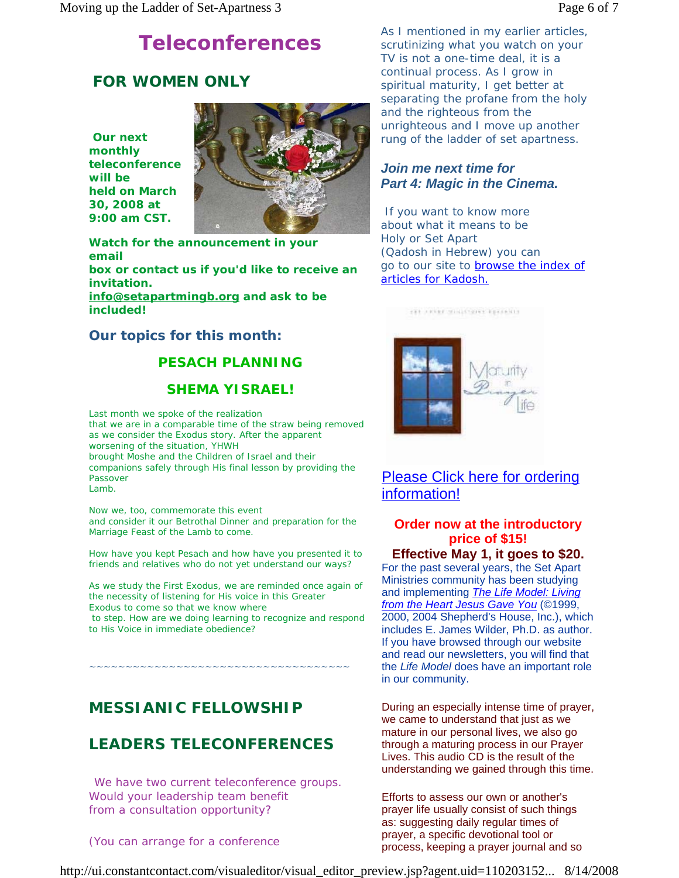# **Teleconferences**

# *FOR WOMEN ONLY*

**Our next monthly teleconference will be held on March 30, 2008 at 9:00 am CST.** 



**Watch for the announcement in your email box or contact us if you'd like to receive an invitation. info@setapartmingb.org and ask to be included!**

**Our topics for this month:** 

## **PESACH PLANNING**

### **SHEMA YISRAEL!**

Last month we spoke of the realization that we are in a comparable time of the straw being removed as we consider the Exodus story. After the apparent worsening of the situation, YHWH brought Moshe and the Children of Israel and their companions safely through His final lesson by providing the Passover Lamb.

Now we, too, commemorate this event and consider it our Betrothal Dinner and preparation for the Marriage Feast of the Lamb to come.

How have you kept Pesach and how have you presented it to friends and relatives who do not yet understand our ways?

As we study the First Exodus, we are reminded once again of the necessity of listening for His voice in this Greater Exodus to come so that we know where

 to step. How are we doing learning to recognize and respond to His Voice in immediate obedience?

## *MESSIANIC FELLOWSHIP*

~~~~~~~~~~~~~~~~

## *LEADERS TELECONFERENCES*

We have two current teleconference groups. Would your leadership team benefit from a consultation opportunity?

(You can arrange for a conference

As I mentioned in my earlier articles, scrutinizing what you watch on your TV is not a one-time deal, it is a continual process. As I grow in spiritual maturity, I get better at separating the profane from the holy and the righteous from the unrighteous and I move up another rung of the ladder of set apartness.

### *Join me next time for Part 4: Magic in the Cinema.*

 If you want to know more about what it means to be Holy or Set Apart (Qadosh in Hebrew) you can go to our site to browse the index of articles for Kadosh.



THE ARTIST WINDSTORY EXPANSIVE

Please Click here for ordering information!

## **Order now at the introductory price of \$15!**

**Effective May 1, it goes to \$20.** For the past several years, the Set Apart Ministries community has been studying and implementing *The Life Model: Living from the Heart Jesus Gave You* (©1999, 2000, 2004 Shepherd's House, Inc.), which includes E. James Wilder, Ph.D. as author. If you have browsed through our website and read our newsletters, you will find that the *Life Model* does have an important role in our community.

During an especially intense time of prayer, we came to understand that just as we mature in our personal lives, we also go through a maturing process in our Prayer Lives. This audio CD is the result of the understanding we gained through this time.

Efforts to assess our own or another's prayer life usually consist of such things as: suggesting daily regular times of prayer, a specific devotional tool or process, keeping a prayer journal and so